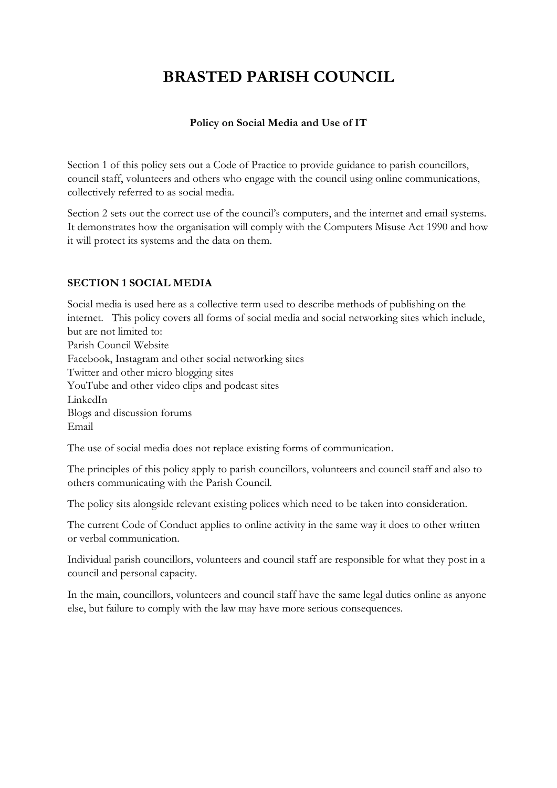# **BRASTED PARISH COUNCIL**

## **Policy on Social Media and Use of IT**

Section 1 of this policy sets out a Code of Practice to provide guidance to parish councillors, council staff, volunteers and others who engage with the council using online communications, collectively referred to as social media.

Section 2 sets out the correct use of the council's computers, and the internet and email systems. It demonstrates how the organisation will comply with the Computers Misuse Act 1990 and how it will protect its systems and the data on them.

# **SECTION 1 SOCIAL MEDIA**

Social media is used here as a collective term used to describe methods of publishing on the internet. This policy covers all forms of social media and social networking sites which include, but are not limited to: Parish Council Website Facebook, Instagram and other social networking sites Twitter and other micro blogging sites YouTube and other video clips and podcast sites LinkedIn Blogs and discussion forums Email

The use of social media does not replace existing forms of communication.

The principles of this policy apply to parish councillors, volunteers and council staff and also to others communicating with the Parish Council.

The policy sits alongside relevant existing polices which need to be taken into consideration.

The current Code of Conduct applies to online activity in the same way it does to other written or verbal communication.

Individual parish councillors, volunteers and council staff are responsible for what they post in a council and personal capacity.

In the main, councillors, volunteers and council staff have the same legal duties online as anyone else, but failure to comply with the law may have more serious consequences.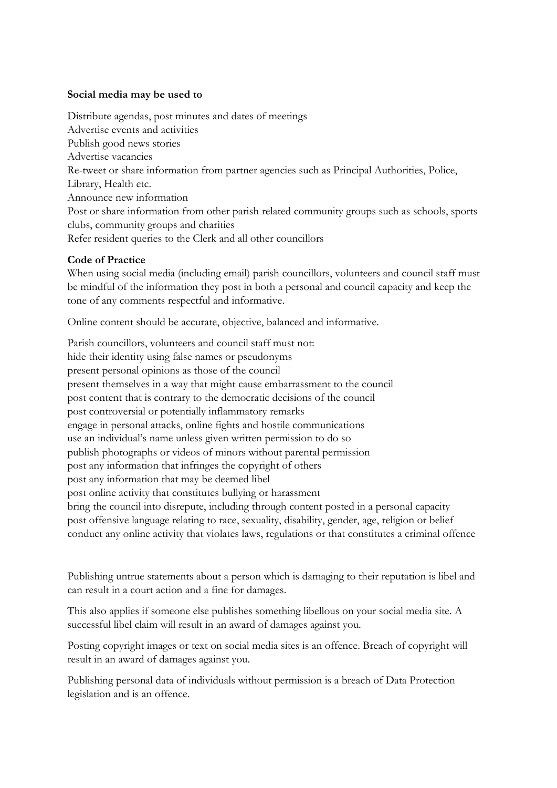#### **Social media may be used to**

Distribute agendas, post minutes and dates of meetings Advertise events and activities Publish good news stories Advertise vacancies Re-tweet or share information from partner agencies such as Principal Authorities, Police, Library, Health etc. Announce new information Post or share information from other parish related community groups such as schools, sports clubs, community groups and charities Refer resident queries to the Clerk and all other councillors

#### **Code of Practice**

When using social media (including email) parish councillors, volunteers and council staff must be mindful of the information they post in both a personal and council capacity and keep the tone of any comments respectful and informative.

Online content should be accurate, objective, balanced and informative.

Parish councillors, volunteers and council staff must not: hide their identity using false names or pseudonyms present personal opinions as those of the council present themselves in a way that might cause embarrassment to the council post content that is contrary to the democratic decisions of the council post controversial or potentially inflammatory remarks engage in personal attacks, online fights and hostile communications use an individual's name unless given written permission to do so publish photographs or videos of minors without parental permission post any information that infringes the copyright of others post any information that may be deemed libel post online activity that constitutes bullying or harassment bring the council into disrepute, including through content posted in a personal capacity post offensive language relating to race, sexuality, disability, gender, age, religion or belief conduct any online activity that violates laws, regulations or that constitutes a criminal offence

Publishing untrue statements about a person which is damaging to their reputation is libel and can result in a court action and a fine for damages.

This also applies if someone else publishes something libellous on your social media site. A successful libel claim will result in an award of damages against you.

Posting copyright images or text on social media sites is an offence. Breach of copyright will result in an award of damages against you.

Publishing personal data of individuals without permission is a breach of Data Protection legislation and is an offence.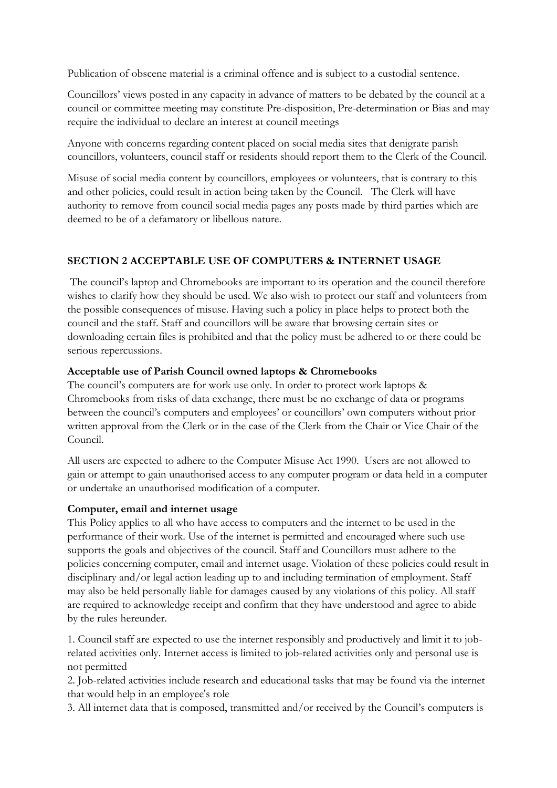Publication of obscene material is a criminal offence and is subject to a custodial sentence.

Councillors' views posted in any capacity in advance of matters to be debated by the council at a council or committee meeting may constitute Pre-disposition, Pre-determination or Bias and may require the individual to declare an interest at council meetings

Anyone with concerns regarding content placed on social media sites that denigrate parish councillors, volunteers, council staff or residents should report them to the Clerk of the Council.

Misuse of social media content by councillors, employees or volunteers, that is contrary to this and other policies, could result in action being taken by the Council. The Clerk will have authority to remove from council social media pages any posts made by third parties which are deemed to be of a defamatory or libellous nature.

# **SECTION 2 ACCEPTABLE USE OF COMPUTERS & INTERNET USAGE**

The council's laptop and Chromebooks are important to its operation and the council therefore wishes to clarify how they should be used. We also wish to protect our staff and volunteers from the possible consequences of misuse. Having such a policy in place helps to protect both the council and the staff. Staff and councillors will be aware that browsing certain sites or downloading certain files is prohibited and that the policy must be adhered to or there could be serious repercussions.

## **Acceptable use of Parish Council owned laptops & Chromebooks**

The council's computers are for work use only. In order to protect work laptops & Chromebooks from risks of data exchange, there must be no exchange of data or programs between the council's computers and employees' or councillors' own computers without prior written approval from the Clerk or in the case of the Clerk from the Chair or Vice Chair of the Council.

All users are expected to adhere to the Computer Misuse Act 1990. Users are not allowed to gain or attempt to gain unauthorised access to any computer program or data held in a computer or undertake an unauthorised modification of a computer.

#### **Computer, email and internet usage**

This Policy applies to all who have access to computers and the internet to be used in the performance of their work. Use of the internet is permitted and encouraged where such use supports the goals and objectives of the council. Staff and Councillors must adhere to the policies concerning computer, email and internet usage. Violation of these policies could result in disciplinary and/or legal action leading up to and including termination of employment. Staff may also be held personally liable for damages caused by any violations of this policy. All staff are required to acknowledge receipt and confirm that they have understood and agree to abide by the rules hereunder.

1. Council staff are expected to use the internet responsibly and productively and limit it to jobrelated activities only. Internet access is limited to job-related activities only and personal use is not permitted

2. Job-related activities include research and educational tasks that may be found via the internet that would help in an employee's role

3. All internet data that is composed, transmitted and/or received by the Council's computers is